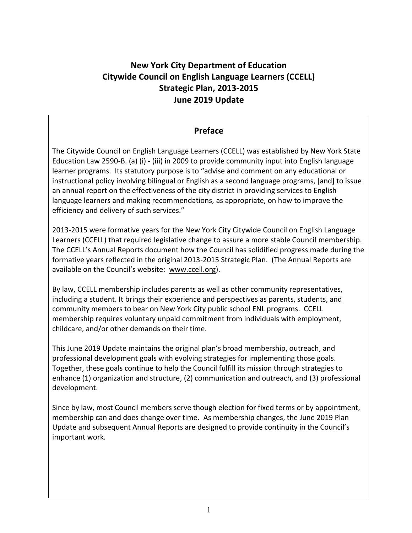# **New York City Department of Education Citywide Council on English Language Learners (CCELL) Strategic Plan, 2013-2015 June 2019 Update**

### **Preface**

The Citywide Council on English Language Learners (CCELL) was established by New York State Education Law 2590-B. (a) (i) - (iii) in 2009 to provide community input into English language learner programs. Its statutory purpose is to "advise and comment on any educational or instructional policy involving bilingual or English as a second language programs, [and] to issue an annual report on the effectiveness of the city district in providing services to English language learners and making recommendations, as appropriate, on how to improve the efficiency and delivery of such services."

2013-2015 were formative years for the New York City Citywide Council on English Language Learners (CCELL) that required legislative change to assure a more stable Council membership. The CCELL's Annual Reports document how the Council has solidified progress made during the formative years reflected in the original 2013-2015 Strategic Plan. (The Annual Reports are available on the Council's website: [www.ccell.org\)](http://www.ccell.org/).

By law, CCELL membership includes parents as well as other community representatives, including a student. It brings their experience and perspectives as parents, students, and community members to bear on New York City public school ENL programs. CCELL membership requires voluntary unpaid commitment from individuals with employment, childcare, and/or other demands on their time.

This June 2019 Update maintains the original plan's broad membership, outreach, and professional development goals with evolving strategies for implementing those goals. Together, these goals continue to help the Council fulfill its mission through strategies to enhance (1) organization and structure, (2) communication and outreach, and (3) professional development.

Since by law, most Council members serve though election for fixed terms or by appointment, membership can and does change over time. As membership changes, the June 2019 Plan Update and subsequent Annual Reports are designed to provide continuity in the Council's important work.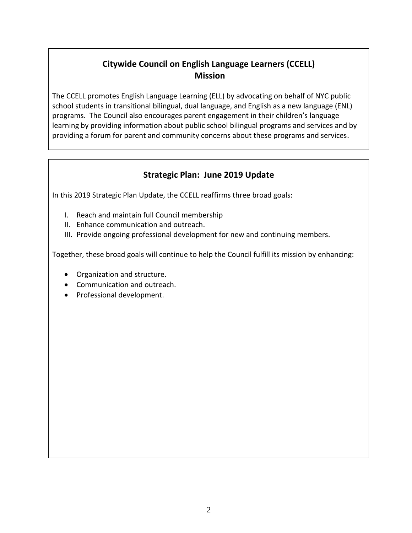# **Citywide Council on English Language Learners (CCELL) Mission**

The CCELL promotes English Language Learning (ELL) by advocating on behalf of NYC public school students in transitional bilingual, dual language, and English as a new language (ENL) programs. The Council also encourages parent engagement in their children's language learning by providing information about public school bilingual programs and services and by providing a forum for parent and community concerns about these programs and services.

## **Strategic Plan: June 2019 Update**

In this 2019 Strategic Plan Update, the CCELL reaffirms three broad goals:

- I. Reach and maintain full Council membership
- II. Enhance communication and outreach.
- III. Provide ongoing professional development for new and continuing members.

Together, these broad goals will continue to help the Council fulfill its mission by enhancing:

- Organization and structure.
- Communication and outreach.
- Professional development.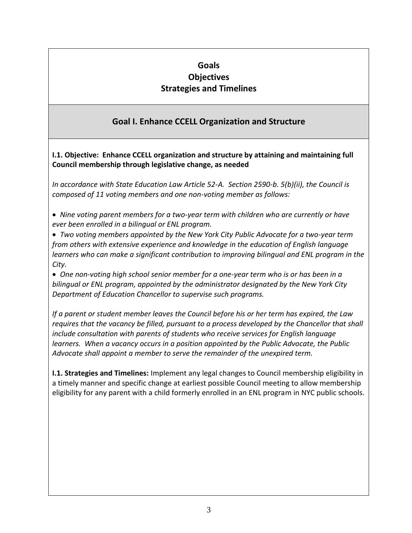## **Goals Objectives Strategies and Timelines**

# **Goal I. Enhance CCELL Organization and Structure**

**I.1. Objective: Enhance CCELL organization and structure by attaining and maintaining full Council membership through legislative change, as needed**

*In accordance with State Education Law Article 52-A. Section 2590-b. 5(b)(ii), the Council is composed of 11 voting members and one non-voting member as follows:* 

• *Nine voting parent members for a two-year term with children who are currently or have ever been enrolled in a bilingual or ENL program.*

• *Two voting members appointed by the New York City Public Advocate for a two-year term from others with extensive experience and knowledge in the education of English language learners who can make a significant contribution to improving bilingual and ENL program in the City.*

• *One non-voting high school senior member for a one-year term who is or has been in a bilingual or ENL program, appointed by the administrator designated by the New York City Department of Education Chancellor to supervise such programs.* 

*If a parent or student member leaves the Council before his or her term has expired, the Law requires that the vacancy be filled, pursuant to a process developed by the Chancellor that shall include consultation with parents of students who receive services for English language learners. When a vacancy occurs in a position appointed by the Public Advocate, the Public Advocate shall appoint a member to serve the remainder of the unexpired term.* 

**I.1. Strategies and Timelines:** Implement any legal changes to Council membership eligibility in a timely manner and specific change at earliest possible Council meeting to allow membership eligibility for any parent with a child formerly enrolled in an ENL program in NYC public schools.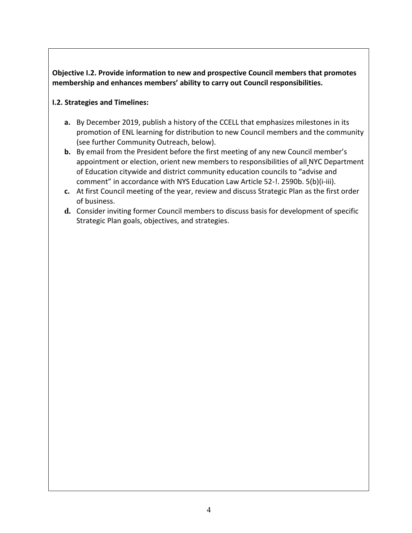**Objective I.2. Provide information to new and prospective Council members that promotes membership and enhances members' ability to carry out Council responsibilities.** 

#### **I.2. Strategies and Timelines:**

- **a.** By December 2019, publish a history of the CCELL that emphasizes milestones in its promotion of ENL learning for distribution to new Council members and the community (see further Community Outreach, below).
- **b.** By email from the President before the first meeting of any new Council member's appointment or election, orient new members to responsibilities of all NYC Department of Education citywide and district community education councils to "advise and comment" in accordance with NYS Education Law Article 52-!. 2590b. 5(b)(i-iii).
- **c.** At first Council meeting of the year, review and discuss Strategic Plan as the first order of business.
- **d.** Consider inviting former Council members to discuss basis for development of specific Strategic Plan goals, objectives, and strategies.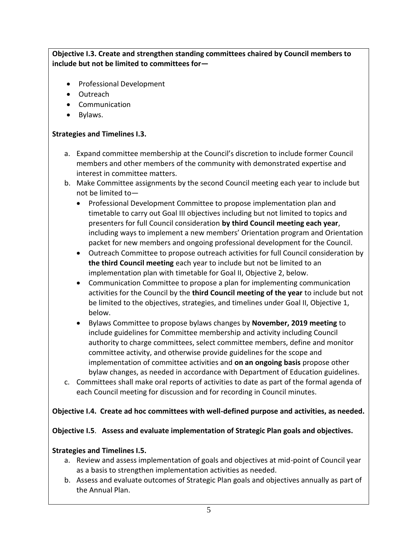### **Objective I.3. Create and strengthen standing committees chaired by Council members to include but not be limited to committees for—**

- Professional Development
- Outreach
- Communication
- Bylaws.

#### **Strategies and Timelines I.3.**

- a. Expand committee membership at the Council's discretion to include former Council members and other members of the community with demonstrated expertise and interest in committee matters.
- b. Make Committee assignments by the second Council meeting each year to include but not be limited to—
	- Professional Development Committee to propose implementation plan and timetable to carry out Goal III objectives including but not limited to topics and presenters for full Council consideration **by third Council meeting each year**, including ways to implement a new members' Orientation program and Orientation packet for new members and ongoing professional development for the Council.
	- Outreach Committee to propose outreach activities for full Council consideration by **the third Council meeting** each year to include but not be limited to an implementation plan with timetable for Goal II, Objective 2, below.
	- Communication Committee to propose a plan for implementing communication activities for the Council by the **third Council meeting of the year** to include but not be limited to the objectives, strategies, and timelines under Goal II, Objective 1, below.
	- Bylaws Committee to propose bylaws changes by **November, 2019 meeting** to include guidelines for Committee membership and activity including Council authority to charge committees, select committee members, define and monitor committee activity, and otherwise provide guidelines for the scope and implementation of committee activities and **on an ongoing basis** propose other bylaw changes, as needed in accordance with Department of Education guidelines.
- c. Committees shall make oral reports of activities to date as part of the formal agenda of each Council meeting for discussion and for recording in Council minutes.

#### **Objective I.4. Create ad hoc committees with well-defined purpose and activities, as needed.**

#### **Objective I.5**. **Assess and evaluate implementation of Strategic Plan goals and objectives.**

#### **Strategies and Timelines I.5.**

- a. Review and assess implementation of goals and objectives at mid-point of Council year as a basis to strengthen implementation activities as needed.
- b. Assess and evaluate outcomes of Strategic Plan goals and objectives annually as part of the Annual Plan.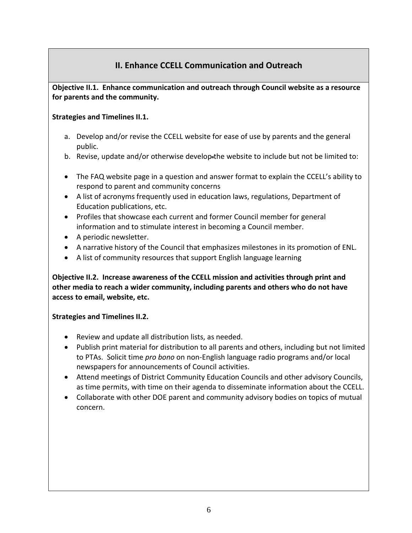## **II. Enhance CCELL Communication and Outreach**

### **Objective II.1. Enhance communication and outreach through Council website as a resource for parents and the community.**

#### **Strategies and Timelines II.1.**

- a. Develop and/or revise the CCELL website for ease of use by parents and the general public.
- b. Revise, update and/or otherwise develop-the website to include but not be limited to:
- The FAQ website page in a question and answer format to explain the CCELL's ability to respond to parent and community concerns
- A list of acronyms frequently used in education laws, regulations, Department of Education publications, etc.
- Profiles that showcase each current and former Council member for general information and to stimulate interest in becoming a Council member.
- A periodic newsletter.
- A narrative history of the Council that emphasizes milestones in its promotion of ENL.
- A list of community resources that support English language learning

**Objective II.2. Increase awareness of the CCELL mission and activities through print and other media to reach a wider community, including parents and others who do not have access to email, website, etc.**

### **Strategies and Timelines II.2.**

- Review and update all distribution lists, as needed.
- Publish print material for distribution to all parents and others, including but not limited to PTAs. Solicit time *pro bono* on non-English language radio programs and/or local newspapers for announcements of Council activities.
- Attend meetings of District Community Education Councils and other advisory Councils, as time permits, with time on their agenda to disseminate information about the CCELL.
- Collaborate with other DOE parent and community advisory bodies on topics of mutual concern.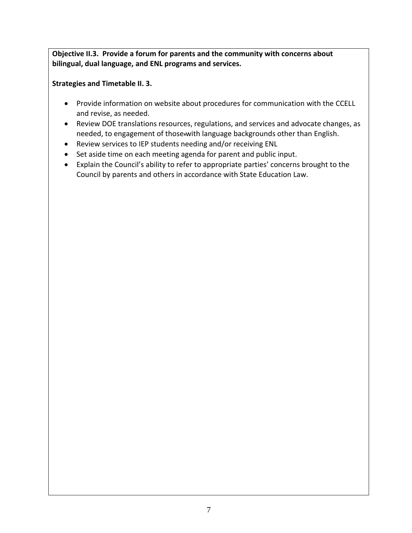**Objective II.3. Provide a forum for parents and the community with concerns about bilingual, dual language, and ENL programs and services.** 

**Strategies and Timetable II. 3.** 

- Provide information on website about procedures for communication with the CCELL and revise, as needed.
- Review DOE translations resources, regulations, and services and advocate changes, as needed, to engagement of those-with language backgrounds other than English.
- Review services to IEP students needing and/or receiving ENL
- Set aside time on each meeting agenda for parent and public input.
- Explain the Council's ability to refer to appropriate parties' concerns brought to the Council by parents and others in accordance with State Education Law.